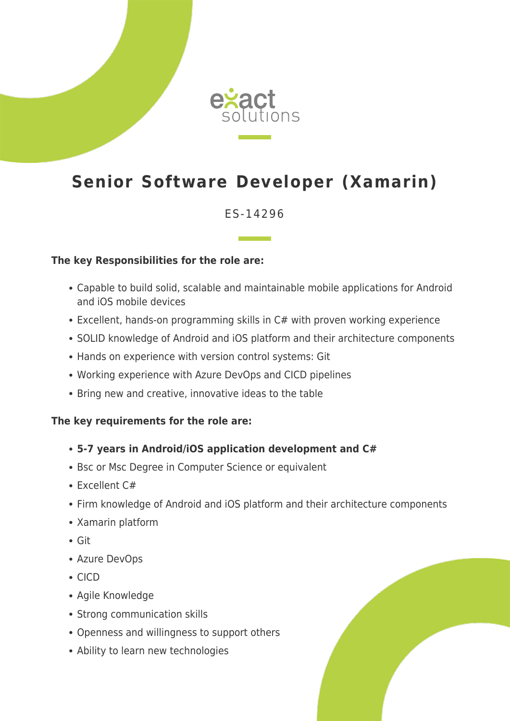

# **Senior Software Developer (Xamarin)**

### ES-14296

#### **The key Responsibilities for the role are:**

- Capable to build solid, scalable and maintainable mobile applications for Android and iOS mobile devices
- Excellent, hands-on programming skills in C# with proven working experience
- SOLID knowledge of Android and iOS platform and their architecture components
- Hands on experience with version control systems: Git
- Working experience with Azure DevOps and CICD pipelines
- Bring new and creative, innovative ideas to the table

#### **The key requirements for the role are:**

- **5-7 years in Android/iOS application development and C#**
- Bsc or Msc Degree in Computer Science or equivalent
- Excellent C#
- Firm knowledge of Android and iOS platform and their architecture components
- Xamarin platform
- Git
- Azure DevOps
- CICD
- Agile Knowledge
- Strong communication skills
- Openness and willingness to support others
- Ability to learn new technologies